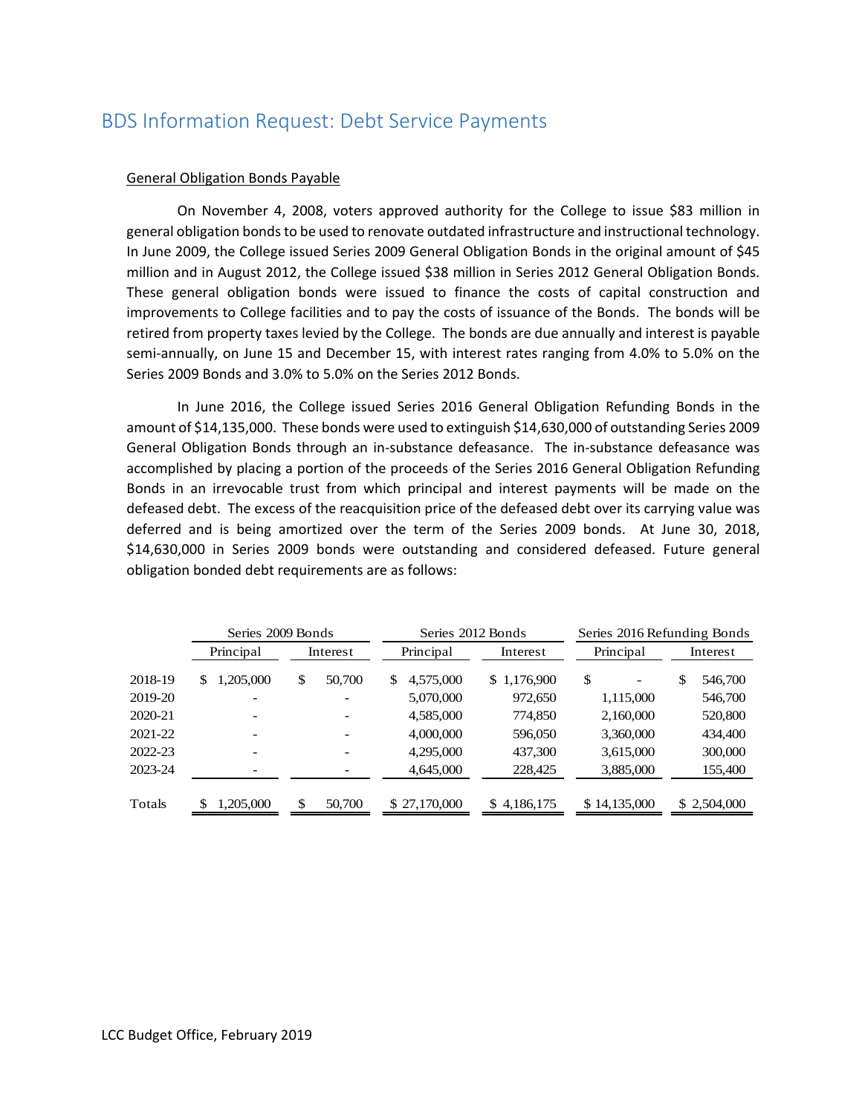# BDS Information Request: Debt Service Payments

### General Obligation Bonds Payable

 On November 4, 2008, voters approved authority for the College to issue \$83 million in general obligation bonds to be used to renovate outdated infrastructure and instructional technology. In June 2009, the College issued Series 2009 General Obligation Bonds in the original amount of \$45 million and in August 2012, the College issued \$38 million in Series 2012 General Obligation Bonds. These general obligation bonds were issued to finance the costs of capital construction and improvements to College facilities and to pay the costs of issuance of the Bonds. The bonds will be retired from property taxes levied by the College. The bonds are due annually and interest is payable semi-annually, on June 15 and December 15, with interest rates ranging from 4.0% to 5.0% on the Series 2009 Bonds and 3.0% to 5.0% on the Series 2012 Bonds.

 In June 2016, the College issued Series 2016 General Obligation Refunding Bonds in the amount of \$14,135,000. These bonds were used to extinguish \$14,630,000 of outstanding Series 2009 General Obligation Bonds through an in‐substance defeasance. The in‐substance defeasance was accomplished by placing a portion of the proceeds of the Series 2016 General Obligation Refunding Bonds in an irrevocable trust from which principal and interest payments will be made on the defeased debt. The excess of the reacquisition price of the defeased debt over its carrying value was deferred and is being amortized over the term of the Series 2009 bonds. At June 30, 2018, \$14,630,000 in Series 2009 bonds were outstanding and considered defeased. Future general obligation bonded debt requirements are as follows:

|         | Series 2009 Bonds |              | Series 2012 Bonds |             | Series 2016 Refunding Bonds |               |  |
|---------|-------------------|--------------|-------------------|-------------|-----------------------------|---------------|--|
|         | Principal         | Interest     | Principal         | Interest    | Principal                   | Interest      |  |
| 2018-19 | 1,205,000<br>S    | \$<br>50,700 | 4,575,000<br>\$   | \$1,176,900 | \$                          | \$<br>546,700 |  |
| 2019-20 |                   |              | 5,070,000         | 972,650     | 1,115,000                   | 546,700       |  |
| 2020-21 |                   |              | 4,585,000         | 774,850     | 2,160,000                   | 520,800       |  |
| 2021-22 |                   |              | 4,000,000         | 596,050     | 3,360,000                   | 434,400       |  |
| 2022-23 |                   |              | 4,295,000         | 437,300     | 3,615,000                   | 300,000       |  |
| 2023-24 |                   |              | 4,645,000         | 228,425     | 3,885,000                   | 155,400       |  |
| Totals  | 1,205,000         | \$<br>50,700 | \$27,170,000      | \$4,186,175 | \$14,135,000                | \$2,504,000   |  |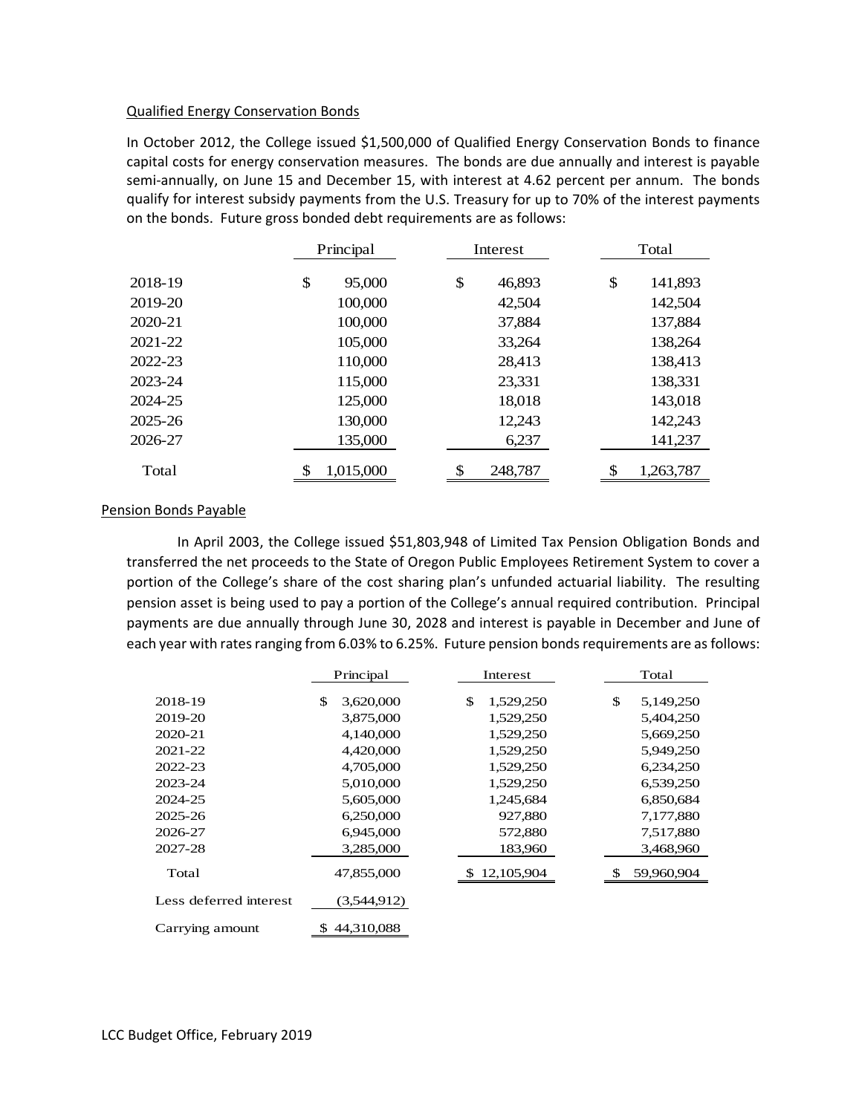#### Qualified Energy Conservation Bonds

In October 2012, the College issued \$1,500,000 of Qualified Energy Conservation Bonds to finance capital costs for energy conservation measures. The bonds are due annually and interest is payable semi-annually, on June 15 and December 15, with interest at 4.62 percent per annum. The bonds qualify for interest subsidy payments from the U.S. Treasury for up to 70% of the interest payments on the bonds. Future gross bonded debt requirements are as follows:

|             | Principal       | Interest      | Total           |  |
|-------------|-----------------|---------------|-----------------|--|
| 2018-19     | \$<br>95,000    | \$<br>46,893  | \$<br>141,893   |  |
| 2019-20     | 100,000         | 42,504        | 142,504         |  |
| $2020 - 21$ | 100,000         | 37,884        | 137,884         |  |
| 2021-22     | 105,000         | 33,264        | 138,264         |  |
| 2022-23     | 110,000         | 28,413        | 138,413         |  |
| 2023-24     | 115,000         | 23,331        | 138,331         |  |
| 2024-25     | 125,000         | 18,018        | 143,018         |  |
| 2025-26     | 130,000         | 12,243        | 142,243         |  |
| 2026-27     | 135,000         | 6,237         | 141,237         |  |
| Total       | \$<br>1,015,000 | \$<br>248,787 | \$<br>1,263,787 |  |

## Pension Bonds Payable

 In April 2003, the College issued \$51,803,948 of Limited Tax Pension Obligation Bonds and transferred the net proceeds to the State of Oregon Public Employees Retirement System to cover a portion of the College's share of the cost sharing plan's unfunded actuarial liability. The resulting pension asset is being used to pay a portion of the College's annual required contribution. Principal payments are due annually through June 30, 2028 and interest is payable in December and June of each year with rates ranging from 6.03% to 6.25%. Future pension bonds requirements are as follows:

|                        | Principal |              | Interest              | Total      |  |
|------------------------|-----------|--------------|-----------------------|------------|--|
| 2018-19                | \$        | 3,620,000    | \$<br>\$<br>1,529,250 | 5,149,250  |  |
|                        |           |              |                       |            |  |
| 2019-20                |           | 3,875,000    | 1,529,250             | 5,404,250  |  |
| 2020-21                |           | 4,140,000    | 1,529,250             | 5,669,250  |  |
| 2021-22                |           | 4,420,000    | 1,529,250             | 5,949,250  |  |
| 2022-23                |           | 4,705,000    | 1,529,250             | 6,234,250  |  |
| 2023-24                |           | 5,010,000    | 1,529,250             | 6,539,250  |  |
| 2024-25                |           | 5,605,000    | 1,245,684             | 6,850,684  |  |
| 2025-26                |           | 6,250,000    | 927,880               | 7,177,880  |  |
| 2026-27                |           | 6,945,000    | 572,880               | 7,517,880  |  |
| 2027-28                |           | 3,285,000    | 183,960               | 3,468,960  |  |
| Total                  |           | 47,855,000   | \$12,105,904          | 59,960,904 |  |
| Less deferred interest |           | (3,544,912)  |                       |            |  |
| Carrying amount        |           | \$44,310,088 |                       |            |  |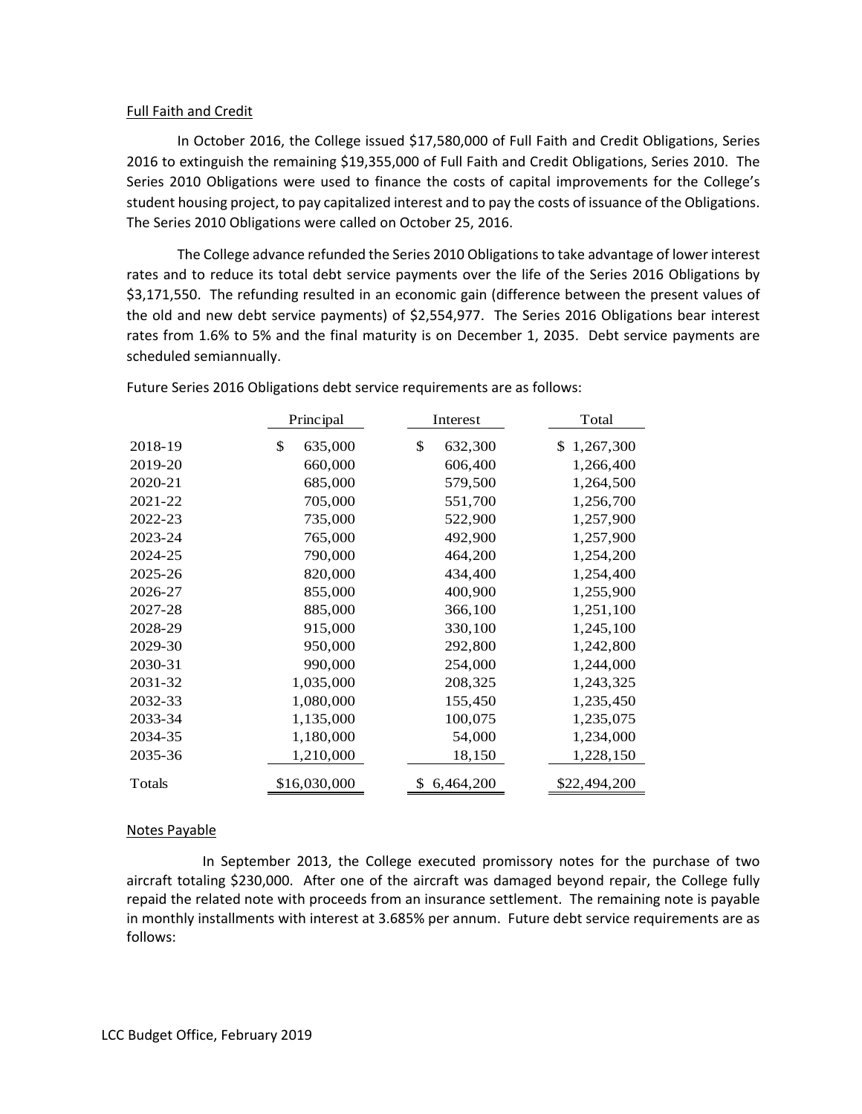### Full Faith and Credit

 In October 2016, the College issued \$17,580,000 of Full Faith and Credit Obligations, Series 2016 to extinguish the remaining \$19,355,000 of Full Faith and Credit Obligations, Series 2010. The Series 2010 Obligations were used to finance the costs of capital improvements for the College's student housing project, to pay capitalized interest and to pay the costs of issuance of the Obligations. The Series 2010 Obligations were called on October 25, 2016.

 The College advance refunded the Series 2010 Obligationsto take advantage of lower interest rates and to reduce its total debt service payments over the life of the Series 2016 Obligations by \$3,171,550. The refunding resulted in an economic gain (difference between the present values of the old and new debt service payments) of \$2,554,977. The Series 2016 Obligations bear interest rates from 1.6% to 5% and the final maturity is on December 1, 2035. Debt service payments are scheduled semiannually.

|         | Principal     | Interest      | Total           |
|---------|---------------|---------------|-----------------|
| 2018-19 | \$<br>635,000 | \$<br>632,300 | 1,267,300<br>\$ |
| 2019-20 | 660,000       | 606,400       | 1,266,400       |
| 2020-21 | 685,000       | 579,500       | 1,264,500       |
| 2021-22 | 705,000       | 551,700       | 1,256,700       |
| 2022-23 | 735,000       | 522,900       | 1,257,900       |
| 2023-24 | 765,000       | 492,900       | 1,257,900       |
| 2024-25 | 790,000       | 464,200       | 1,254,200       |
| 2025-26 | 820,000       | 434,400       | 1,254,400       |
| 2026-27 | 855,000       | 400,900       | 1,255,900       |
| 2027-28 | 885,000       | 366,100       | 1,251,100       |
| 2028-29 | 915,000       | 330,100       | 1,245,100       |
| 2029-30 | 950,000       | 292,800       | 1,242,800       |
| 2030-31 | 990,000       | 254,000       | 1,244,000       |
| 2031-32 | 1,035,000     | 208,325       | 1,243,325       |
| 2032-33 | 1,080,000     | 155,450       | 1,235,450       |
| 2033-34 | 1,135,000     | 100,075       | 1,235,075       |
| 2034-35 | 1,180,000     | 54,000        | 1,234,000       |
| 2035-36 | 1,210,000     | 18,150        | 1,228,150       |
| Totals  | \$16,030,000  | 6,464,200     | \$22,494,200    |

Future Series 2016 Obligations debt service requirements are as follows:

## Notes Payable

 In September 2013, the College executed promissory notes for the purchase of two aircraft totaling \$230,000. After one of the aircraft was damaged beyond repair, the College fully repaid the related note with proceeds from an insurance settlement. The remaining note is payable in monthly installments with interest at 3.685% per annum. Future debt service requirements are as follows: